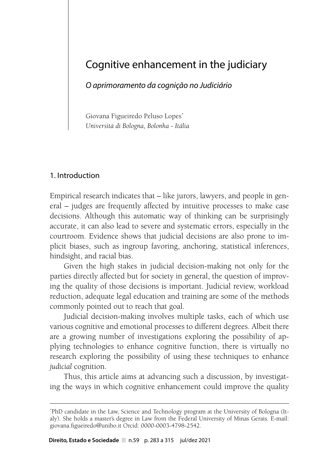# Cognitive enhancement in the judiciary

*O aprimoramento da cognição no Judiciário*

Giovana Figueiredo Peluso Lopes\* *Università di Bologna, Bolonha - Itália*

### 1. Introduction

Empirical research indicates that – like jurors, lawyers, and people in general – judges are frequently affected by intuitive processes to make case decisions. Although this automatic way of thinking can be surprisingly accurate, it can also lead to severe and systematic errors, especially in the courtroom. Evidence shows that judicial decisions are also prone to implicit biases, such as ingroup favoring, anchoring, statistical inferences, hindsight, and racial bias.

Given the high stakes in judicial decision-making not only for the parties directly affected but for society in general, the question of improving the quality of those decisions is important. Judicial review, workload reduction, adequate legal education and training are some of the methods commonly pointed out to reach that goal.

Judicial decision-making involves multiple tasks, each of which use various cognitive and emotional processes to different degrees. Albeit there are a growing number of investigations exploring the possibility of applying technologies to enhance cognitive function, there is virtually no research exploring the possibility of using these techniques to enhance *judicial* cognition.

Thus, this article aims at advancing such a discussion, by investigating the ways in which cognitive enhancement could improve the quality

<sup>\*</sup> PhD candidate in the Law, Science and Technology program at the University of Bologna (Italy). She holds a master's degree in Law from the Federal University of Minas Gerais. E-mail: giovana.figueiredo@unibo.it Orcid: 0000-0003-4798-2542.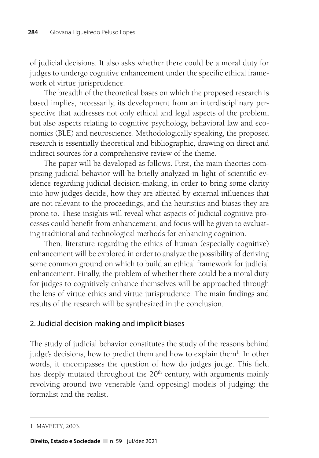of judicial decisions. It also asks whether there could be a moral duty for judges to undergo cognitive enhancement under the specific ethical framework of virtue jurisprudence.

The breadth of the theoretical bases on which the proposed research is based implies, necessarily, its development from an interdisciplinary perspective that addresses not only ethical and legal aspects of the problem, but also aspects relating to cognitive psychology, behavioral law and economics (BLE) and neuroscience. Methodologically speaking, the proposed research is essentially theoretical and bibliographic, drawing on direct and indirect sources for a comprehensive review of the theme.

The paper will be developed as follows. First, the main theories comprising judicial behavior will be briefly analyzed in light of scientific evidence regarding judicial decision-making, in order to bring some clarity into how judges decide, how they are affected by external influences that are not relevant to the proceedings, and the heuristics and biases they are prone to. These insights will reveal what aspects of judicial cognitive processes could benefit from enhancement, and focus will be given to evaluating traditional and technological methods for enhancing cognition.

Then, literature regarding the ethics of human (especially cognitive) enhancement will be explored in order to analyze the possibility of deriving some common ground on which to build an ethical framework for judicial enhancement. Finally, the problem of whether there could be a moral duty for judges to cognitively enhance themselves will be approached through the lens of virtue ethics and virtue jurisprudence. The main findings and results of the research will be synthesized in the conclusion.

## 2. Judicial decision-making and implicit biases

The study of judicial behavior constitutes the study of the reasons behind judge's decisions, how to predict them and how to explain them<sup>1</sup>. In other words, it encompasses the question of how do judges judge. This field has deeply mutated throughout the  $20<sup>th</sup>$  century, with arguments mainly revolving around two venerable (and opposing) models of judging: the formalist and the realist.

<sup>1</sup> MAVEETY, 2003.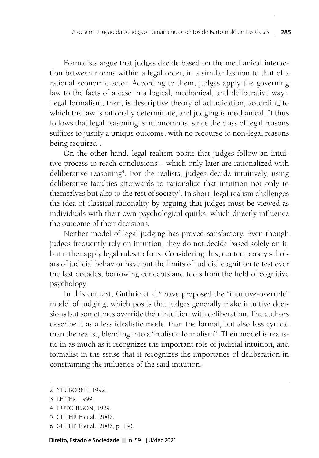Formalists argue that judges decide based on the mechanical interaction between norms within a legal order, in a similar fashion to that of a rational economic actor. According to them, judges apply the governing law to the facts of a case in a logical, mechanical, and deliberative way<sup>2</sup>. Legal formalism, then, is descriptive theory of adjudication, according to which the law is rationally determinate, and judging is mechanical. It thus follows that legal reasoning is autonomous, since the class of legal reasons suffices to justify a unique outcome, with no recourse to non-legal reasons being required<sup>3</sup>.

On the other hand, legal realism posits that judges follow an intuitive process to reach conclusions – which only later are rationalized with deliberative reasoning<sup>4</sup>. For the realists, judges decide intuitively, using deliberative faculties afterwards to rationalize that intuition not only to themselves but also to the rest of society<sup>5</sup>. In short, legal realism challenges the idea of classical rationality by arguing that judges must be viewed as individuals with their own psychological quirks, which directly influence the outcome of their decisions.

Neither model of legal judging has proved satisfactory. Even though judges frequently rely on intuition, they do not decide based solely on it, but rather apply legal rules to facts. Considering this, contemporary scholars of judicial behavior have put the limits of judicial cognition to test over the last decades, borrowing concepts and tools from the field of cognitive psychology.

In this context, Guthrie et al.<sup>6</sup> have proposed the "intuitive-override" model of judging, which posits that judges generally make intuitive decisions but sometimes override their intuition with deliberation. The authors describe it as a less idealistic model than the formal, but also less cynical than the realist, blending into a "realistic formalism". Their model is realistic in as much as it recognizes the important role of judicial intuition, and formalist in the sense that it recognizes the importance of deliberation in constraining the influence of the said intuition.

6 GUTHRIE et al., 2007, p. 130.

<sup>2</sup> NEUBORNE, 1992.

<sup>3</sup> LEITER, 1999.

<sup>4</sup> HUTCHESON, 1929.

<sup>5</sup> GUTHRIE et al., 2007.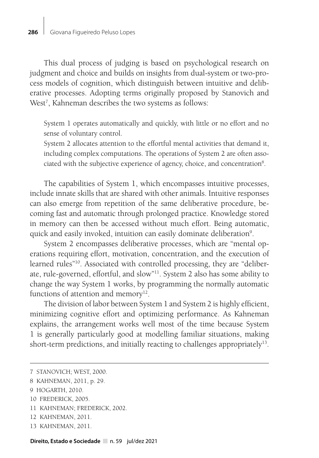This dual process of judging is based on psychological research on judgment and choice and builds on insights from dual-system or two-process models of cognition, which distinguish between intuitive and deliberative processes. Adopting terms originally proposed by Stanovich and West<sup>7</sup>, Kahneman describes the two systems as follows:

System 1 operates automatically and quickly, with little or no effort and no sense of voluntary control.

System 2 allocates attention to the effortful mental activities that demand it, including complex computations. The operations of System 2 are often associated with the subjective experience of agency, choice, and concentration<sup>8</sup>.

The capabilities of System 1, which encompasses intuitive processes, include innate skills that are shared with other animals. Intuitive responses can also emerge from repetition of the same deliberative procedure, becoming fast and automatic through prolonged practice. Knowledge stored in memory can then be accessed without much effort. Being automatic, quick and easily invoked, intuition can easily dominate deliberation<sup>9</sup>.

System 2 encompasses deliberative processes, which are "mental operations requiring effort, motivation, concentration, and the execution of learned rules"10. Associated with controlled processing, they are "deliberate, rule-governed, effortful, and slow"11. System 2 also has some ability to change the way System 1 works, by programming the normally automatic functions of attention and memory $12$ .

The division of labor between System 1 and System 2 is highly efficient, minimizing cognitive effort and optimizing performance. As Kahneman explains, the arrangement works well most of the time because System 1 is generally particularly good at modelling familiar situations, making short-term predictions, and initially reacting to challenges appropriately<sup>13</sup>.

- 11 KAHNEMAN; FREDERICK, 2002.
- 12 KAHNEMAN, 2011.
- 13 KAHNEMAN, 2011.

<sup>7</sup> STANOVICH; WEST, 2000.

<sup>8</sup> KAHNEMAN, 2011, p. 29.

<sup>9</sup> HOGARTH, 2010.

<sup>10</sup> FREDERICK, 2005.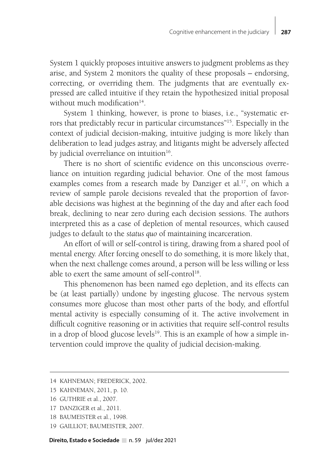System 1 quickly proposes intuitive answers to judgment problems as they arise, and System 2 monitors the quality of these proposals – endorsing, correcting, or overriding them. The judgments that are eventually expressed are called intuitive if they retain the hypothesized initial proposal without much modification<sup>14</sup>.

System 1 thinking, however, is prone to biases, i.e., "systematic errors that predictably recur in particular circumstances"15. Especially in the context of judicial decision-making, intuitive judging is more likely than deliberation to lead judges astray, and litigants might be adversely affected by judicial overreliance on intuition $16$ .

There is no short of scientific evidence on this unconscious overreliance on intuition regarding judicial behavior. One of the most famous examples comes from a research made by Danziger et al.<sup>17</sup>, on which a review of sample parole decisions revealed that the proportion of favorable decisions was highest at the beginning of the day and after each food break, declining to near zero during each decision sessions. The authors interpreted this as a case of depletion of mental resources, which caused judges to default to the *status quo* of maintaining incarceration.

An effort of will or self-control is tiring, drawing from a shared pool of mental energy. After forcing oneself to do something, it is more likely that, when the next challenge comes around, a person will be less willing or less able to exert the same amount of self-control<sup>18</sup>.

This phenomenon has been named ego depletion, and its effects can be (at least partially) undone by ingesting glucose. The nervous system consumes more glucose than most other parts of the body, and effortful mental activity is especially consuming of it. The active involvement in difficult cognitive reasoning or in activities that require self-control results in a drop of blood glucose levels<sup>19</sup>. This is an example of how a simple intervention could improve the quality of judicial decision-making.

- 15 KAHNEMAN, 2011, p. 10.
- 16 GUTHRIE et al., 2007.
- 17 DANZIGER et al., 2011.
- 18 BAUMEISTER et al., 1998.
- 19 GAILLIOT; BAUMEISTER, 2007.

<sup>14</sup> KAHNEMAN; FREDERICK, 2002.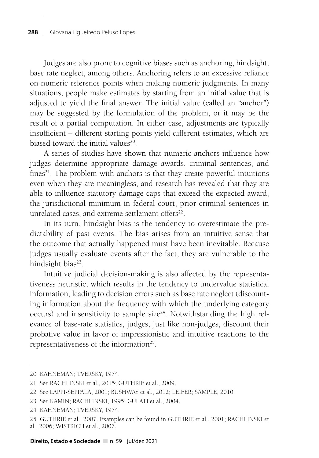Judges are also prone to cognitive biases such as anchoring, hindsight, base rate neglect, among others. Anchoring refers to an excessive reliance on numeric reference points when making numeric judgments. In many situations, people make estimates by starting from an initial value that is adjusted to yield the final answer. The initial value (called an "anchor") may be suggested by the formulation of the problem, or it may be the result of a partial computation. In either case, adjustments are typically insufficient – different starting points yield different estimates, which are biased toward the initial values<sup>20</sup>

A series of studies have shown that numeric anchors influence how judges determine appropriate damage awards, criminal sentences, and fines $21$ . The problem with anchors is that they create powerful intuitions even when they are meaningless, and research has revealed that they are able to influence statutory damage caps that exceed the expected award, the jurisdictional minimum in federal court, prior criminal sentences in unrelated cases, and extreme settlement offers<sup>22</sup>.

In its turn, hindsight bias is the tendency to overestimate the predictability of past events. The bias arises from an intuitive sense that the outcome that actually happened must have been inevitable. Because judges usually evaluate events after the fact, they are vulnerable to the hindsight bias<sup>23</sup>.

Intuitive judicial decision-making is also affected by the representativeness heuristic, which results in the tendency to undervalue statistical information, leading to decision errors such as base rate neglect (discounting information about the frequency with which the underlying category occurs) and insensitivity to sample size $24$ . Notwithstanding the high relevance of base-rate statistics, judges, just like non-judges, discount their probative value in favor of impressionistic and intuitive reactions to the representativeness of the information<sup>25</sup>.

<sup>20</sup> KAHNEMAN; TVERSKY, 1974.

<sup>21</sup> See RACHLINSKI et al., 2015; GUTHRIE et al., 2009.

<sup>22</sup> See LAPPI-SEPPÄLÄ, 2001; BUSHWAY et al., 2012; LEIFER; SAMPLE, 2010.

<sup>23</sup> See KAMIN; RACHLINSKI, 1995; GULATI et al., 2004.

<sup>24</sup> KAHNEMAN; TVERSKY, 1974.

<sup>25</sup> GUTHRIE et al., 2007. Examples can be found in GUTHRIE et al., 2001; RACHLINSKI et al., 2006; WISTRICH et al., 2007.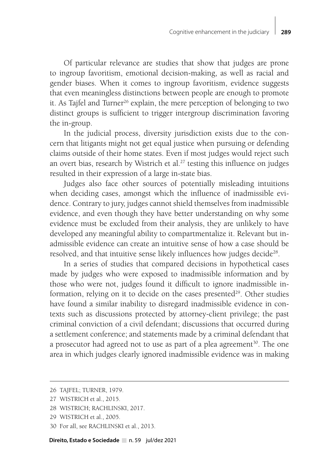Of particular relevance are studies that show that judges are prone to ingroup favoritism, emotional decision-making, as well as racial and gender biases. When it comes to ingroup favoritism, evidence suggests that even meaningless distinctions between people are enough to promote it. As Tajfel and Turner<sup>26</sup> explain, the mere perception of belonging to two distinct groups is sufficient to trigger intergroup discrimination favoring the in-group.

In the judicial process, diversity jurisdiction exists due to the concern that litigants might not get equal justice when pursuing or defending claims outside of their home states. Even if most judges would reject such an overt bias, research by Wistrich et al.<sup>27</sup> testing this influence on judges resulted in their expression of a large in-state bias.

Judges also face other sources of potentially misleading intuitions when deciding cases, amongst which the influence of inadmissible evidence. Contrary to jury, judges cannot shield themselves from inadmissible evidence, and even though they have better understanding on why some evidence must be excluded from their analysis, they are unlikely to have developed any meaningful ability to compartmentalize it. Relevant but inadmissible evidence can create an intuitive sense of how a case should be resolved, and that intuitive sense likely influences how judges decide<sup>28</sup>.

In a series of studies that compared decisions in hypothetical cases made by judges who were exposed to inadmissible information and by those who were not, judges found it difficult to ignore inadmissible information, relying on it to decide on the cases presented $29$ . Other studies have found a similar inability to disregard inadmissible evidence in contexts such as discussions protected by attorney-client privilege; the past criminal conviction of a civil defendant; discussions that occurred during a settlement conference; and statements made by a criminal defendant that a prosecutor had agreed not to use as part of a plea agreement<sup>30</sup>. The one area in which judges clearly ignored inadmissible evidence was in making

<sup>26</sup> TAJFEL; TURNER, 1979.

<sup>27</sup> WISTRICH et al., 2015.

<sup>28</sup> WISTRICH; RACHLINSKI, 2017.

<sup>29</sup> WISTRICH et al., 2005.

<sup>30</sup> For all, see RACHLINSKI et al., 2013.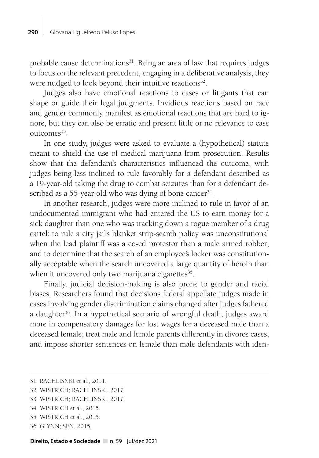probable cause determinations<sup>31</sup>. Being an area of law that requires judges to focus on the relevant precedent, engaging in a deliberative analysis, they were nudged to look beyond their intuitive reactions<sup>32</sup>.

Judges also have emotional reactions to cases or litigants that can shape or guide their legal judgments. Invidious reactions based on race and gender commonly manifest as emotional reactions that are hard to ignore, but they can also be erratic and present little or no relevance to case outcomes<sup>33</sup>.

In one study, judges were asked to evaluate a (hypothetical) statute meant to shield the use of medical marijuana from prosecution. Results show that the defendant's characteristics influenced the outcome, with judges being less inclined to rule favorably for a defendant described as a 19-year-old taking the drug to combat seizures than for a defendant described as a 55-year-old who was dying of bone cancer<sup>34</sup>.

In another research, judges were more inclined to rule in favor of an undocumented immigrant who had entered the US to earn money for a sick daughter than one who was tracking down a rogue member of a drug cartel; to rule a city jail's blanket strip-search policy was unconstitutional when the lead plaintiff was a co-ed protestor than a male armed robber; and to determine that the search of an employee's locker was constitutionally acceptable when the search uncovered a large quantity of heroin than when it uncovered only two marijuana cigarettes<sup>35</sup>.

Finally, judicial decision-making is also prone to gender and racial biases. Researchers found that decisions federal appellate judges made in cases involving gender discrimination claims changed after judges fathered a daughter<sup>36</sup>. In a hypothetical scenario of wrongful death, judges award more in compensatory damages for lost wages for a deceased male than a deceased female; treat male and female parents differently in divorce cases; and impose shorter sentences on female than male defendants with iden-

- 33 WISTRICH; RACHLINSKI, 2017.
- 34 WISTRICH et al., 2015.
- 35 WISTRICH et al., 2015.
- 36 GLYNN; SEN, 2015.

<sup>31</sup> RACHLISNKI et al., 2011.

<sup>32</sup> WISTRICH; RACHLINSKI, 2017.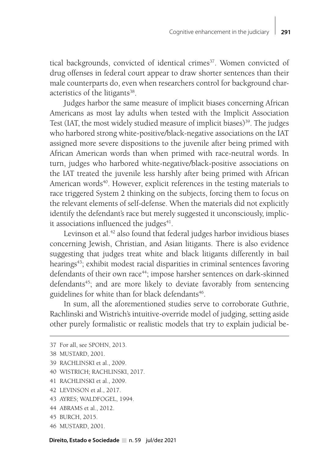tical backgrounds, convicted of identical crimes<sup>37</sup>. Women convicted of drug offenses in federal court appear to draw shorter sentences than their male counterparts do, even when researchers control for background characteristics of the litigants<sup>38</sup>.

Judges harbor the same measure of implicit biases concerning African Americans as most lay adults when tested with the Implicit Association Test (IAT, the most widely studied measure of implicit biases)<sup>39</sup>. The judges who harbored strong white-positive/black-negative associations on the IAT assigned more severe dispositions to the juvenile after being primed with African American words than when primed with race-neutral words. In turn, judges who harbored white-negative/black-positive associations on the IAT treated the juvenile less harshly after being primed with African American words<sup>40</sup>. However, explicit references in the testing materials to race triggered System 2 thinking on the subjects, forcing them to focus on the relevant elements of self-defense. When the materials did not explicitly identify the defendant's race but merely suggested it unconsciously, implicit associations influenced the judges $41$ .

Levinson et al.<sup>42</sup> also found that federal judges harbor invidious biases concerning Jewish, Christian, and Asian litigants. There is also evidence suggesting that judges treat white and black litigants differently in bail hearings<sup>43</sup>; exhibit modest racial disparities in criminal sentences favoring defendants of their own race<sup>44</sup>; impose harsher sentences on dark-skinned defendants<sup>45</sup>; and are more likely to deviate favorably from sentencing guidelines for white than for black defendants<sup>46</sup>.

In sum, all the aforementioned studies serve to corroborate Guthrie, Rachlinski and Wistrich's intuitive-override model of judging, setting aside other purely formalistic or realistic models that try to explain judicial be-

- 39 RACHLINSKI et al., 2009.
- 40 WISTRICH; RACHLINSKI, 2017.
- 41 RACHLINSKI et al., 2009.
- 42 LEVINSON et al., 2017.
- 43 AYRES; WALDFOGEL, 1994.
- 44 ABRAMS et al., 2012.
- 45 BURCH, 2015.
- 46 MUSTARD, 2001.

Direito, Estado e Sociedade n. 59 jul/dez 2021

<sup>37</sup> For all, see SPOHN, 2013.

<sup>38</sup> MUSTARD, 2001.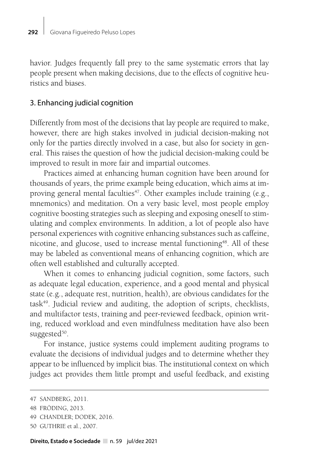havior. Judges frequently fall prey to the same systematic errors that lay people present when making decisions, due to the effects of cognitive heuristics and biases.

#### 3. Enhancing judicial cognition

Differently from most of the decisions that lay people are required to make, however, there are high stakes involved in judicial decision-making not only for the parties directly involved in a case, but also for society in general. This raises the question of how the judicial decision-making could be improved to result in more fair and impartial outcomes.

Practices aimed at enhancing human cognition have been around for thousands of years, the prime example being education, which aims at improving general mental faculties<sup>47</sup>. Other examples include training (e.g., mnemonics) and meditation. On a very basic level, most people employ cognitive boosting strategies such as sleeping and exposing oneself to stimulating and complex environments. In addition, a lot of people also have personal experiences with cognitive enhancing substances such as caffeine, nicotine, and glucose, used to increase mental functioning<sup>48</sup>. All of these may be labeled as conventional means of enhancing cognition, which are often well established and culturally accepted.

When it comes to enhancing judicial cognition, some factors, such as adequate legal education, experience, and a good mental and physical state (e.g., adequate rest, nutrition, health), are obvious candidates for the task49. Judicial review and auditing, the adoption of scripts, checklists, and multifactor tests, training and peer-reviewed feedback, opinion writing, reduced workload and even mindfulness meditation have also been suggested $50$ .

For instance, justice systems could implement auditing programs to evaluate the decisions of individual judges and to determine whether they appear to be influenced by implicit bias. The institutional context on which judges act provides them little prompt and useful feedback, and existing

<sup>47</sup> SANDBERG, 2011.

<sup>48</sup> FRÖDING, 2013.

<sup>49</sup> CHANDLER; DODEK, 2016.

<sup>50</sup> GUTHRIE et al., 2007.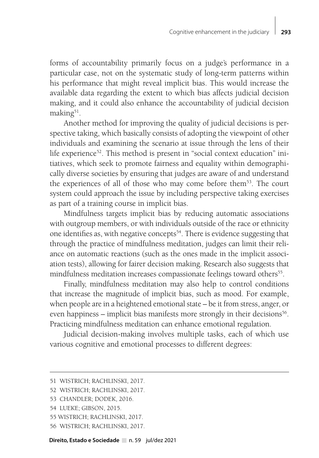forms of accountability primarily focus on a judge's performance in a particular case, not on the systematic study of long-term patterns within his performance that might reveal implicit bias. This would increase the available data regarding the extent to which bias affects judicial decision making, and it could also enhance the accountability of judicial decision making $51$ .

Another method for improving the quality of judicial decisions is perspective taking, which basically consists of adopting the viewpoint of other individuals and examining the scenario at issue through the lens of their life experience<sup>52</sup>. This method is present in "social context education" initiatives, which seek to promote fairness and equality within demographically diverse societies by ensuring that judges are aware of and understand the experiences of all of those who may come before them<sup>53</sup>. The court system could approach the issue by including perspective taking exercises as part of a training course in implicit bias.

Mindfulness targets implicit bias by reducing automatic associations with outgroup members, or with individuals outside of the race or ethnicity one identifies as, with negative concepts<sup>54</sup>. There is evidence suggesting that through the practice of mindfulness meditation, judges can limit their reliance on automatic reactions (such as the ones made in the implicit association tests), allowing for fairer decision making. Research also suggests that mindfulness meditation increases compassionate feelings toward others<sup>55</sup>.

Finally, mindfulness meditation may also help to control conditions that increase the magnitude of implicit bias, such as mood. For example, when people are in a heightened emotional state – be it from stress, anger, or even happiness – implicit bias manifests more strongly in their decisions<sup>56</sup>. Practicing mindfulness meditation can enhance emotional regulation.

Judicial decision-making involves multiple tasks, each of which use various cognitive and emotional processes to different degrees:

- 54 LUEKE; GIBSON, 2015.
- 55 WISTRICH; RACHLINSKI, 2017.
- 56 WISTRICH; RACHLINSKI, 2017.

<sup>51</sup> WISTRICH; RACHLINSKI, 2017.

<sup>52</sup> WISTRICH; RACHLINSKI, 2017.

<sup>53</sup> CHANDLER; DODEK, 2016.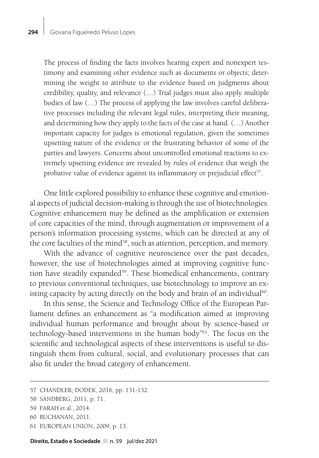The process of finding the facts involves hearing expert and nonexpert testimony and examining other evidence such as documents or objects; determining the weight to attribute to the evidence based on judgments about credibility, quality, and relevance (…) Trial judges must also apply multiple bodies of law (…) The process of applying the law involves careful deliberative processes including the relevant legal rules, interpreting their meaning, and determining how they apply to the facts of the case at hand. (…) Another important capacity for judges is emotional regulation, given the sometimes upsetting nature of the evidence or the frustrating behavior of some of the parties and lawyers. Concerns about uncontrolled emotional reactions to extremely upsetting evidence are revealed by rules of evidence that weigh the probative value of evidence against its inflammatory or prejudicial effect<sup>57</sup>.

One little explored possibility to enhance these cognitive and emotional aspects of judicial decision-making is through the use of biotechnologies. Cognitive enhancement may be defined as the amplification or extension of core capacities of the mind, through augmentation or improvement of a person's information processing systems, which can be directed at any of the core faculties of the mind<sup>58</sup>, such as attention, perception, and memory.

With the advance of cognitive neuroscience over the past decades, however, the use of biotechnologies aimed at improving cognitive function have steadily expanded<sup>59</sup>. These biomedical enhancements, contrary to previous conventional techniques, use biotechnology to improve an existing capacity by acting directly on the body and brain of an individual<sup>60</sup>.

In this sense, the Science and Technology Office of the European Parliament defines an enhancement as "a modification aimed at improving individual human performance and brought about by science-based or technology-based interventions in the human body"61. The focus on the scientific and technological aspects of these interventions is useful to distinguish them from cultural, social, and evolutionary processes that can also fit under the broad category of enhancement.

- 60 BUCHANAN, 2011.
- 61 EUROPEAN UNION, 2009, p. 13.

<sup>57</sup> CHANDLER; DODEK, 2016, pp. 131-132.

<sup>58</sup> SANDBERG, 2011, p. 71.

<sup>59</sup> FARAH et al., 2014.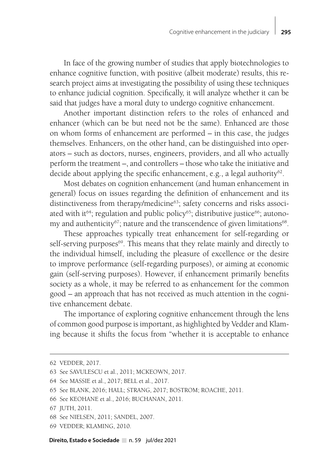In face of the growing number of studies that apply biotechnologies to enhance cognitive function, with positive (albeit moderate) results, this research project aims at investigating the possibility of using these techniques to enhance judicial cognition. Specifically, it will analyze whether it can be said that judges have a moral duty to undergo cognitive enhancement.

Another important distinction refers to the roles of enhanced and enhancer (which can be but need not be the same). Enhanced are those on whom forms of enhancement are performed – in this case, the judges themselves. Enhancers, on the other hand, can be distinguished into operators – such as doctors, nurses, engineers, providers, and all who actually perform the treatment –, and controllers – those who take the initiative and decide about applying the specific enhancement, e.g., a legal authority<sup>62</sup>.

Most debates on cognition enhancement (and human enhancement in general) focus on issues regarding the definition of enhancement and its distinctiveness from therapy/medicine<sup>63</sup>; safety concerns and risks associated with it<sup>64</sup>; regulation and public policy<sup>65</sup>; distributive justice<sup>66</sup>; autonomy and authenticity<sup>67</sup>; nature and the transcendence of given limitations<sup>68</sup>.

These approaches typically treat enhancement for self-regarding or self-serving purposes<sup>69</sup>. This means that they relate mainly and directly to the individual himself, including the pleasure of excellence or the desire to improve performance (self-regarding purposes), or aiming at economic gain (self-serving purposes). However, if enhancement primarily benefits society as a whole, it may be referred to as enhancement for the common good – an approach that has not received as much attention in the cognitive enhancement debate.

The importance of exploring cognitive enhancement through the lens of common good purpose is important, as highlighted by Vedder and Klaming because it shifts the focus from "whether it is acceptable to enhance

69 VEDDER; KLAMING, 2010.

<sup>62</sup> VEDDER, 2017.

<sup>63</sup> See SAVULESCU et al., 2011; MCKEOWN, 2017.

<sup>64</sup> See MASSIE et al., 2017; BELL et al., 2017.

<sup>65</sup> See BLANK, 2016; HALL; STRANG, 2017; BOSTROM; ROACHE, 2011.

<sup>66</sup> See KEOHANE et al., 2016; BUCHANAN, 2011.

<sup>67</sup> JUTH, 2011.

<sup>68</sup> See NIELSEN, 2011; SANDEL, 2007.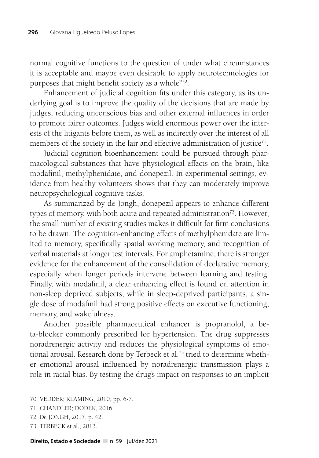normal cognitive functions to the question of under what circumstances it is acceptable and maybe even desirable to apply neurotechnologies for purposes that might benefit society as a whole"70.

Enhancement of judicial cognition fits under this category, as its underlying goal is to improve the quality of the decisions that are made by judges, reducing unconscious bias and other external influences in order to promote fairer outcomes. Judges wield enormous power over the interests of the litigants before them, as well as indirectly over the interest of all members of the society in the fair and effective administration of justice $71$ .

Judicial cognition bioenhancement could be pursued through pharmacological substances that have physiological effects on the brain, like modafinil, methylphenidate, and donepezil. In experimental settings, evidence from healthy volunteers shows that they can moderately improve neuropsychological cognitive tasks.

As summarized by de Jongh, donepezil appears to enhance different types of memory, with both acute and repeated administration<sup>72</sup>. However, the small number of existing studies makes it difficult for firm conclusions to be drawn. The cognition-enhancing effects of methylphenidate are limited to memory, specifically spatial working memory, and recognition of verbal materials at longer test intervals. For amphetamine, there is stronger evidence for the enhancement of the consolidation of declarative memory, especially when longer periods intervene between learning and testing. Finally, with modafinil, a clear enhancing effect is found on attention in non-sleep deprived subjects, while in sleep-deprived participants, a single dose of modafinil had strong positive effects on executive functioning, memory, and wakefulness.

Another possible pharmaceutical enhancer is propranolol, a beta-blocker commonly prescribed for hypertension. The drug suppresses noradrenergic activity and reduces the physiological symptoms of emotional arousal. Research done by Terbeck et al.<sup>73</sup> tried to determine whether emotional arousal influenced by noradrenergic transmission plays a role in racial bias. By testing the drug's impact on responses to an implicit

73 TERBECK et al., 2013.

<sup>70</sup> VEDDER; KLAMING, 2010, pp. 6-7.

<sup>71</sup> CHANDLER; DODEK, 2016.

<sup>72</sup> De JONGH, 2017, p. 42.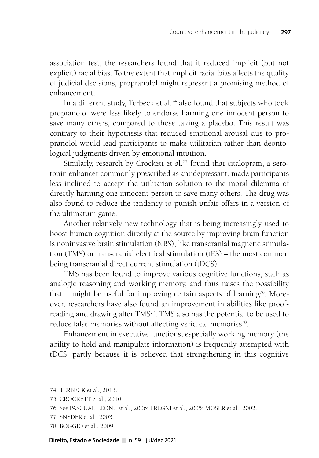association test, the researchers found that it reduced implicit (but not explicit) racial bias. To the extent that implicit racial bias affects the quality of judicial decisions, propranolol might represent a promising method of enhancement.

In a different study, Terbeck et al.<sup>74</sup> also found that subjects who took propranolol were less likely to endorse harming one innocent person to save many others, compared to those taking a placebo. This result was contrary to their hypothesis that reduced emotional arousal due to propranolol would lead participants to make utilitarian rather than deontological judgments driven by emotional intuition.

Similarly, research by Crockett et al.<sup>75</sup> found that citalopram, a serotonin enhancer commonly prescribed as antidepressant, made participants less inclined to accept the utilitarian solution to the moral dilemma of directly harming one innocent person to save many others. The drug was also found to reduce the tendency to punish unfair offers in a version of the ultimatum game.

Another relatively new technology that is being increasingly used to boost human cognition directly at the source by improving brain function is noninvasive brain stimulation (NBS), like transcranial magnetic stimulation (TMS) or transcranial electrical stimulation (tES) – the most common being transcranial direct current stimulation (tDCS).

TMS has been found to improve various cognitive functions, such as analogic reasoning and working memory, and thus raises the possibility that it might be useful for improving certain aspects of learning<sup>76</sup>. Moreover, researchers have also found an improvement in abilities like proofreading and drawing after TMS<sup>77</sup>. TMS also has the potential to be used to reduce false memories without affecting veridical memories<sup>78</sup>.

Enhancement in executive functions, especially working memory (the ability to hold and manipulate information) is frequently attempted with tDCS, partly because it is believed that strengthening in this cognitive

<sup>74</sup> TERBECK et al., 2013.

<sup>75</sup> CROCKETT et al., 2010.

<sup>76</sup> See PASCUAL-LEONE et al., 2006; FREGNI et al., 2005; MOSER et al., 2002.

<sup>77</sup> SNYDER et al., 2003.

<sup>78</sup> BOGGIO et al., 2009.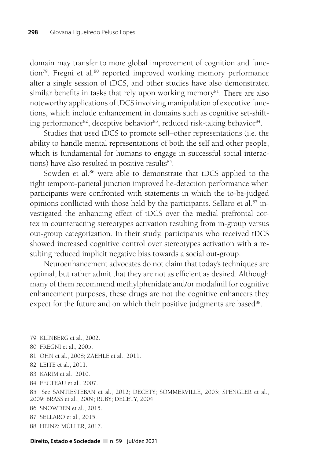domain may transfer to more global improvement of cognition and function<sup>79</sup>. Fregni et al.<sup>80</sup> reported improved working memory performance after a single session of tDCS, and other studies have also demonstrated similar benefits in tasks that rely upon working memory<sup>81</sup>. There are also noteworthy applications of tDCS involving manipulation of executive functions, which include enhancement in domains such as cognitive set-shifting performance<sup>82</sup>, deceptive behavior<sup>83</sup>, reduced risk-taking behavior<sup>84</sup>.

Studies that used tDCS to promote self–other representations (i.e. the ability to handle mental representations of both the self and other people, which is fundamental for humans to engage in successful social interactions) have also resulted in positive results<sup>85</sup>.

Sowden et al.<sup>86</sup> were able to demonstrate that tDCS applied to the right temporo-parietal junction improved lie-detection performance when participants were confronted with statements in which the to-be-judged opinions conflicted with those held by the participants. Sellaro et al.<sup>87</sup> investigated the enhancing effect of tDCS over the medial prefrontal cortex in counteracting stereotypes activation resulting from in-group versus out-group categorization. In their study, participants who received tDCS showed increased cognitive control over stereotypes activation with a resulting reduced implicit negative bias towards a social out-group.

Neuroenhancement advocates do not claim that today's techniques are optimal, but rather admit that they are not as efficient as desired. Although many of them recommend methylphenidate and/or modafinil for cognitive enhancement purposes, these drugs are not the cognitive enhancers they expect for the future and on which their positive judgments are based<sup>88</sup>.

- 81 OHN et al., 2008; ZAEHLE et al., 2011.
- 82 LEITE et al., 2011.
- 83 KARIM et al., 2010.
- 84 FECTEAU et al., 2007.
- 85 See SANTIESTEBAN et al., 2012; DECETY; SOMMERVILLE, 2003; SPENGLER et al., 2009; BRASS et al., 2009; RUBY; DECETY, 2004.
- 86 SNOWDEN et al., 2015.
- 87 SELLARO et al., 2015.
- 88 HEINZ; MÜLLER, 2017.

<sup>79</sup> KLINBERG et al., 2002.

<sup>80</sup> FREGNI et al., 2005.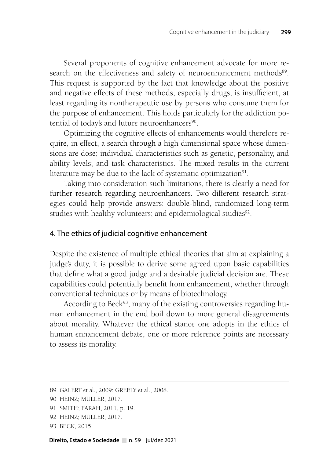Several proponents of cognitive enhancement advocate for more research on the effectiveness and safety of neuroenhancement methods<sup>89</sup>. This request is supported by the fact that knowledge about the positive and negative effects of these methods, especially drugs, is insufficient, at least regarding its nontherapeutic use by persons who consume them for the purpose of enhancement. This holds particularly for the addiction potential of today's and future neuroenhancers<sup>90</sup>.

Optimizing the cognitive effects of enhancements would therefore require, in effect, a search through a high dimensional space whose dimensions are dose; individual characteristics such as genetic, personality, and ability levels; and task characteristics. The mixed results in the current literature may be due to the lack of systematic optimization<sup>91</sup>.

Taking into consideration such limitations, there is clearly a need for further research regarding neuroenhancers. Two different research strategies could help provide answers: double-blind, randomized long-term studies with healthy volunteers; and epidemiological studies<sup>92</sup>.

## 4. The ethics of judicial cognitive enhancement

Despite the existence of multiple ethical theories that aim at explaining a judge's duty, it is possible to derive some agreed upon basic capabilities that define what a good judge and a desirable judicial decision are. These capabilities could potentially benefit from enhancement, whether through conventional techniques or by means of biotechnology.

According to Beck<sup>93</sup>, many of the existing controversies regarding human enhancement in the end boil down to more general disagreements about morality. Whatever the ethical stance one adopts in the ethics of human enhancement debate, one or more reference points are necessary to assess its morality.

<sup>89</sup> GALERT et al., 2009; GREELY et al., 2008.

<sup>90</sup> HEINZ; MÜLLER, 2017.

<sup>91</sup> SMITH; FARAH, 2011, p. 19.

<sup>92</sup> HEINZ; MÜLLER, 2017.

<sup>93</sup> BECK, 2015.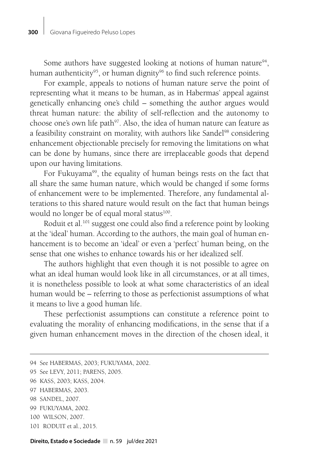Some authors have suggested looking at notions of human nature<sup>94</sup>, human authenticity<sup>95</sup>, or human dignity<sup>96</sup> to find such reference points.

For example, appeals to notions of human nature serve the point of representing what it means to be human, as in Habermas' appeal against genetically enhancing one's child – something the author argues would threat human nature: the ability of self-reflection and the autonomy to choose one's own life path<sup>97</sup>. Also, the idea of human nature can feature as a feasibility constraint on morality, with authors like Sandel<sup>98</sup> considering enhancement objectionable precisely for removing the limitations on what can be done by humans, since there are irreplaceable goods that depend upon our having limitations.

For Fukuyama<sup>99</sup>, the equality of human beings rests on the fact that all share the same human nature, which would be changed if some forms of enhancement were to be implemented. Therefore, any fundamental alterations to this shared nature would result on the fact that human beings would no longer be of equal moral status<sup>100</sup>.

Roduit et al.<sup>101</sup> suggest one could also find a reference point by looking at the 'ideal' human. According to the authors, the main goal of human enhancement is to become an 'ideal' or even a 'perfect' human being, on the sense that one wishes to enhance towards his or her idealized self.

The authors highlight that even though it is not possible to agree on what an ideal human would look like in all circumstances, or at all times, it is nonetheless possible to look at what some characteristics of an ideal human would be – referring to those as perfectionist assumptions of what it means to live a good human life.

These perfectionist assumptions can constitute a reference point to evaluating the morality of enhancing modifications, in the sense that if a given human enhancement moves in the direction of the chosen ideal, it

- 97 HABERMAS, 2003.
- 98 SANDEL, 2007.
- 99 FUKUYAMA, 2002.

101 RODUIT et al., 2015.

<sup>94</sup> See HABERMAS, 2003; FUKUYAMA, 2002.

<sup>95</sup> See LEVY, 2011; PARENS, 2005.

<sup>96</sup> KASS, 2003; KASS, 2004.

<sup>100</sup> WILSON, 2007.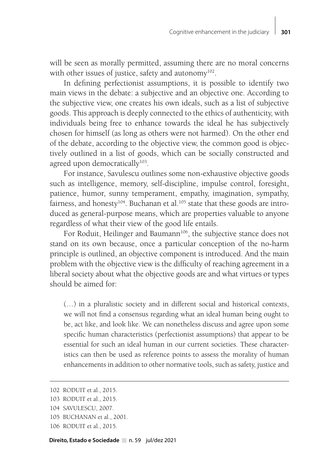will be seen as morally permitted, assuming there are no moral concerns with other issues of justice, safety and autonomy<sup>102</sup>.

In defining perfectionist assumptions, it is possible to identify two main views in the debate: a subjective and an objective one. According to the subjective view, one creates his own ideals, such as a list of subjective goods. This approach is deeply connected to the ethics of authenticity, with individuals being free to enhance towards the ideal he has subjectively chosen for himself (as long as others were not harmed). On the other end of the debate, according to the objective view, the common good is objectively outlined in a list of goods, which can be socially constructed and agreed upon democratically<sup>103</sup>.

For instance, Savulescu outlines some non-exhaustive objective goods such as intelligence, memory, self-discipline, impulse control, foresight, patience, humor, sunny temperament, empathy, imagination, sympathy, fairness, and honesty<sup>104</sup>. Buchanan et al.<sup>105</sup> state that these goods are introduced as general-purpose means, which are properties valuable to anyone regardless of what their view of the good life entails.

For Roduit, Heilinger and Baumann<sup>106</sup>, the subjective stance does not stand on its own because, once a particular conception of the no-harm principle is outlined, an objective component is introduced. And the main problem with the objective view is the difficulty of reaching agreement in a liberal society about what the objective goods are and what virtues or types should be aimed for:

(…) in a pluralistic society and in different social and historical contexts, we will not find a consensus regarding what an ideal human being ought to be, act like, and look like. We can nonetheless discuss and agree upon some specific human characteristics (perfectionist assumptions) that appear to be essential for such an ideal human in our current societies. These characteristics can then be used as reference points to assess the morality of human enhancements in addition to other normative tools, such as safety, justice and

<sup>102</sup> RODUIT et al., 2015.

<sup>103</sup> RODUIT et al., 2015.

<sup>104</sup> SAVULESCU, 2007.

<sup>105</sup> BUCHANAN et al., 2001.

<sup>106</sup> RODUIT et al., 2015.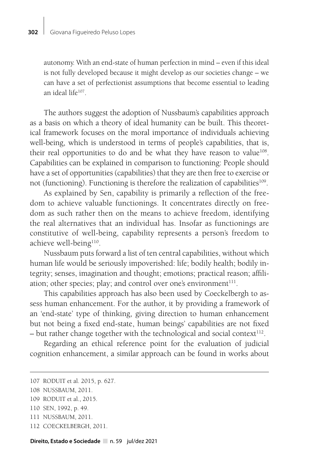autonomy. With an end-state of human perfection in mind – even if this ideal is not fully developed because it might develop as our societies change – we can have a set of perfectionist assumptions that become essential to leading an ideal life107.

The authors suggest the adoption of Nussbaum's capabilities approach as a basis on which a theory of ideal humanity can be built. This theoretical framework focuses on the moral importance of individuals achieving well-being, which is understood in terms of people's capabilities, that is, their real opportunities to do and be what they have reason to value<sup>108</sup>. Capabilities can be explained in comparison to functioning: People should have a set of opportunities (capabilities) that they are then free to exercise or not (functioning). Functioning is therefore the realization of capabilities<sup>109</sup>.

As explained by Sen, capability is primarily a reflection of the freedom to achieve valuable functionings. It concentrates directly on freedom as such rather then on the means to achieve freedom, identifying the real alternatives that an individual has. Insofar as functionings are constitutive of well-being, capability represents a person's freedom to achieve well-being<sup>110</sup>.

Nussbaum puts forward a list of ten central capabilities, without which human life would be seriously impoverished: life; bodily health; bodily integrity; senses, imagination and thought; emotions; practical reason; affiliation; other species; play; and control over one's environment $111$ .

This capabilities approach has also been used by Coeckelbergh to assess human enhancement. For the author, it by providing a framework of an 'end-state' type of thinking, giving direction to human enhancement but not being a fixed end-state, human beings' capabilities are not fixed – but rather change together with the technological and social context<sup>112</sup>.

Regarding an ethical reference point for the evaluation of judicial cognition enhancement, a similar approach can be found in works about

<sup>107</sup> RODUIT et al. 2015, p. 627.

<sup>108</sup> NUSSBAUM, 2011.

<sup>109</sup> RODUIT et al., 2015.

<sup>110</sup> SEN, 1992, p. 49.

<sup>111</sup> NUSSBAUM, 2011.

<sup>112</sup> COECKELBERGH, 2011.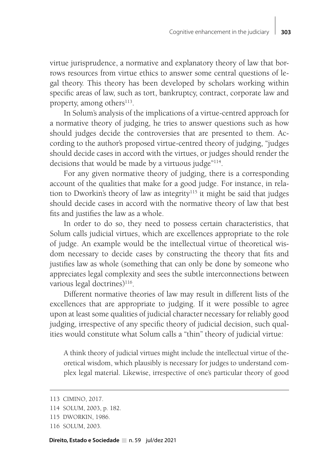virtue jurisprudence, a normative and explanatory theory of law that borrows resources from virtue ethics to answer some central questions of legal theory. This theory has been developed by scholars working within specific areas of law, such as tort, bankruptcy, contract, corporate law and property, among others<sup>113</sup>.

In Solum's analysis of the implications of a virtue-centred approach for a normative theory of judging, he tries to answer questions such as how should judges decide the controversies that are presented to them. According to the author's proposed virtue-centred theory of judging, "judges should decide cases in accord with the virtues, or judges should render the decisions that would be made by a virtuous judge"114.

For any given normative theory of judging, there is a corresponding account of the qualities that make for a good judge. For instance, in relation to Dworkin's theory of law as integrity<sup>115</sup> it might be said that judges should decide cases in accord with the normative theory of law that best fits and justifies the law as a whole.

In order to do so, they need to possess certain characteristics, that Solum calls judicial virtues, which are excellences appropriate to the role of judge. An example would be the intellectual virtue of theoretical wisdom necessary to decide cases by constructing the theory that fits and justifies law as whole (something that can only be done by someone who appreciates legal complexity and sees the subtle interconnections between various legal doctrines)<sup>116</sup>.

Different normative theories of law may result in different lists of the excellences that are appropriate to judging. If it were possible to agree upon at least some qualities of judicial character necessary for reliably good judging, irrespective of any specific theory of judicial decision, such qualities would constitute what Solum calls a "thin" theory of judicial virtue:

A think theory of judicial virtues might include the intellectual virtue of theoretical wisdom, which plausibly is necessary for judges to understand complex legal material. Likewise, irrespective of one's particular theory of good

<sup>113</sup> CIMINO, 2017.

<sup>114</sup> SOLUM, 2003, p. 182.

<sup>115</sup> DWORKIN, 1986.

<sup>116</sup> SOLUM, 2003.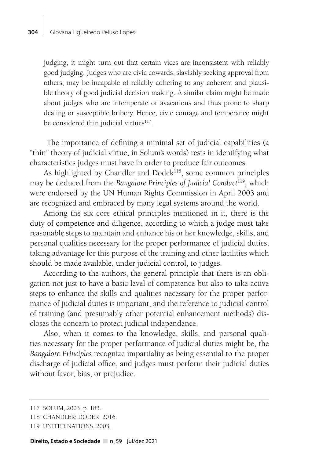judging, it might turn out that certain vices are inconsistent with reliably good judging. Judges who are civic cowards, slavishly seeking approval from others, may be incapable of reliably adhering to any coherent and plausible theory of good judicial decision making. A similar claim might be made about judges who are intemperate or avacarious and thus prone to sharp dealing or susceptible bribery. Hence, civic courage and temperance might be considered thin judicial virtues<sup>117</sup>.

 The importance of defining a minimal set of judicial capabilities (a "thin" theory of judicial virtue, in Solum's words) rests in identifying what characteristics judges must have in order to produce fair outcomes.

As highlighted by Chandler and Dodek<sup>118</sup>, some common principles may be deduced from the *Bangalore Principles of Judicial Conduct*<sup>119</sup>*,* which were endorsed by the UN Human Rights Commission in April 2003 and are recognized and embraced by many legal systems around the world.

Among the six core ethical principles mentioned in it, there is the duty of competence and diligence, according to which a judge must take reasonable steps to maintain and enhance his or her knowledge, skills, and personal qualities necessary for the proper performance of judicial duties, taking advantage for this purpose of the training and other facilities which should be made available, under judicial control, to judges.

According to the authors, the general principle that there is an obligation not just to have a basic level of competence but also to take active steps to enhance the skills and qualities necessary for the proper performance of judicial duties is important, and the reference to judicial control of training (and presumably other potential enhancement methods) discloses the concern to protect judicial independence.

Also, when it comes to the knowledge, skills, and personal qualities necessary for the proper performance of judicial duties might be, the *Bangalore Principles* recognize impartiality as being essential to the proper discharge of judicial office, and judges must perform their judicial duties without favor, bias, or prejudice.

<sup>117</sup> SOLUM, 2003, p. 183.

<sup>118</sup> CHANDLER; DODEK, 2016.

<sup>119</sup> UNITED NATIONS, 2003.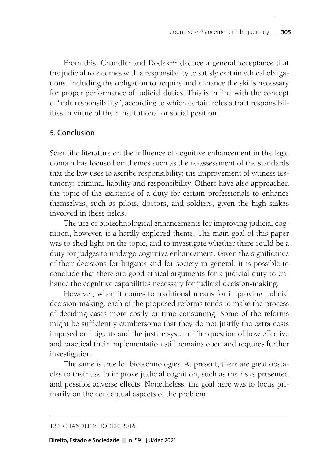From this, Chandler and Dode $k^{120}$  deduce a general acceptance that the judicial role comes with a responsibility to satisfy certain ethical obligations, including the obligation to acquire and enhance the skills necessary for proper performance of judicial duties. This is in line with the concept of "role responsibility", according to which certain roles attract responsibilities in virtue of their institutional or social position.

## 5. Conclusion

Scientific literature on the influence of cognitive enhancement in the legal domain has focused on themes such as the re-assessment of the standards that the law uses to ascribe responsibility; the improvement of witness testimony; criminal liability and responsibility. Others have also approached the topic of the existence of a duty for certain professionals to enhance themselves, such as pilots, doctors, and soldiers, given the high stakes involved in these fields.

The use of biotechnological enhancements for improving judicial cognition, however, is a hardly explored theme. The main goal of this paper was to shed light on the topic, and to investigate whether there could be a duty for judges to undergo cognitive enhancement. Given the significance of their decisions for litigants and for society in general, it is possible to conclude that there are good ethical arguments for a judicial duty to enhance the cognitive capabilities necessary for judicial decision-making.

However, when it comes to traditional means for improving judicial decision-making, each of the proposed reforms tends to make the process of deciding cases more costly or time consuming. Some of the reforms might be sufficiently cumbersome that they do not justify the extra costs imposed on litigants and the justice system. The question of how effective and practical their implementation still remains open and requires further investigation.

The same is true for biotechnologies. At present, there are great obstacles to their use to improve judicial cognition, such as the risks presented and possible adverse effects. Nonetheless, the goal here was to focus primarily on the conceptual aspects of the problem.

<sup>120</sup> CHANDLER; DODEK, 2016.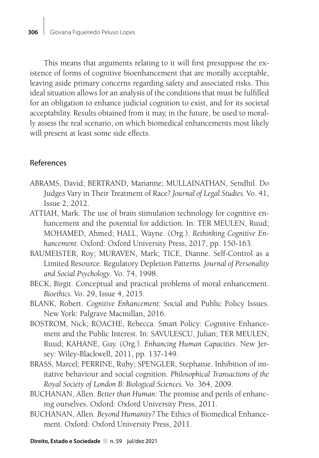This means that arguments relating to it will first presuppose the existence of forms of cognitive bioenhancement that are morally acceptable, leaving aside primary concerns regarding safety and associated risks. This ideal situation allows for an analysis of the conditions that must be fulfilled for an obligation to enhance judicial cognition to exist, and for its societal acceptability. Results obtained from it may, in the future, be used to morally assess the real scenario, on which biomedical enhancements most likely will present at least some side effects.

## References

- ABRAMS, David; BERTRAND, Marianne; MULLAINATHAN, Sendhil. Do Judges Vary in Their Treatment of Race? *Journal of Legal Studies.* Vo. 41, Issue 2, 2012.
- ATTIAH, Mark. The use of brain stimulation technology for cognitive enhancement and the potential for addiction. In: TER MEULEN, Ruud; MOHAMED, Ahmed; HALL, Wayne. (Org.). *Rethinking Cognitive Enhancement.* Oxford: Oxford University Press, 2017, pp. 150-163.
- BAUMEISTER, Roy; MURAVEN, Mark; TICE, Dianne. Self-Control as a Limited Resource: Regulatory Depletion Patterns. *Journal of Personality and Social Psychology*. Vo. 74, 1998.
- BECK, Birgit. Conceptual and practical problems of moral enhancement. *Bioethics.* Vo. 29, Issue 4, 2015.
- BLANK, Robert. *Cognitive Enhancement:* Social and Public Policy Issues. New York: Palgrave Macmillan, 2016.
- BOSTROM, Nick; ROACHE, Rebecca. Smart Policy: Cognitive Enhancement and the Public Interest. In: SAVULESCU, Julian; TER MEULEN, Ruud; KAHANE, Guy. (Org.). *Enhancing Human Capacities*. New Jersey: Wiley-Blackwell, 2011, pp. 137-149.
- BRASS, Marcel; PERRINE, Ruby; SPENGLER, Stephanie. Inhibition of imitative behaviour and social cognition. *Philosophical Transactions of the Royal Society of London B: Biological Sciences.* Vo. 364, 2009.
- BUCHANAN, Allen. *Better than Human:* The promise and perils of enhancing ourselves. Oxford: Oxford University Press, 2011.
- BUCHANAN, Allen. *Beyond Humanity?* The Ethics of Biomedical Enhancement. Oxford: Oxford University Press, 2011.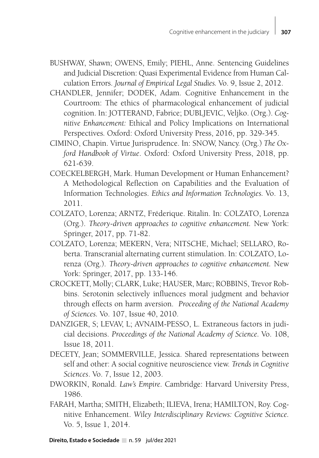- BUSHWAY, Shawn; OWENS, Emily; PIEHL, Anne. Sentencing Guidelines and Judicial Discretion: Quasi Experimental Evidence from Human Calculation Errors. *Journal of Empirical Legal Studies.* Vo. 9, Issue 2, 2012.
- CHANDLER, Jennifer; DODEK, Adam. Cognitive Enhancement in the Courtroom: The ethics of pharmacological enhancement of judicial cognition. In: JOTTERAND, Fabrice; DUBLJEVIC, Veljko. (Org.). *Cognitive Enhancement:* Ethical and Policy Implications on International Perspectives*.* Oxford: Oxford University Press, 2016, pp. 329-345.
- CIMINO, Chapin. Virtue Jurisprudence. In: SNOW, Nancy. (Org.) *The Oxford Handbook of Virtue*. Oxford: Oxford University Press, 2018, pp. 621-639.
- COECKELBERGH, Mark. Human Development or Human Enhancement? A Methodological Reflection on Capabilities and the Evaluation of Information Technologies. *Ethics and Information Technologies.* Vo. 13, 2011.
- COLZATO, Lorenza; ARNTZ, Fréderique. Ritalin. In: COLZATO, Lorenza (Org.). *Theory-driven approaches to cognitive enhancement.* New York: Springer, 2017, pp. 71-82.
- COLZATO, Lorenza; MEKERN, Vera; NITSCHE, Michael; SELLARO, Roberta. Transcranial alternating current stimulation. In: COLZATO, Lorenza (Org.). *Theory-driven approaches to cognitive enhancement.* New York: Springer, 2017, pp. 133-146.
- CROCKETT, Molly; CLARK, Luke; HAUSER, Marc; ROBBINS, Trevor Robbins. Serotonin selectively influences moral judgment and behavior through effects on harm aversion. *Proceeding of the National Academy of Sciences.* Vo. 107, Issue 40, 2010.
- DANZIGER, S; LEVAV, L; AVNAIM-PESSO, L. Extraneous factors in judicial decisions. *Proceedings of the National Academy of Science.* Vo. 108, Issue 18, 2011.
- DECETY, Jean; SOMMERVILLE, Jessica. Shared representations between self and other: A social cognitive neuroscience view. *Trends in Cognitive Sciences*. Vo. 7, Issue 12, 2003.
- DWORKIN, Ronald. *Law's Empire.* Cambridge: Harvard University Press, 1986.
- FARAH, Martha; SMITH, Elizabeth; ILIEVA, Irena; HAMILTON, Roy. Cognitive Enhancement. *Wiley Interdisciplinary Reviews: Cognitive Science.*  Vo. 5, Issue 1, 2014.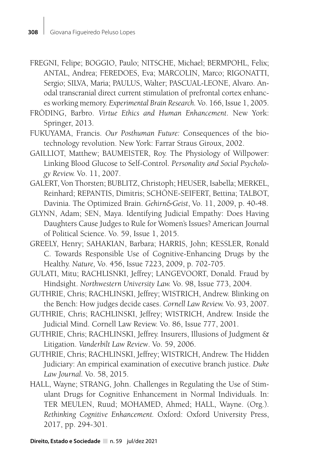- FREGNI, Felipe; BOGGIO, Paulo; NITSCHE, Michael; BERMPOHL, Felix; ANTAL, Andrea; FEREDOES, Eva; MARCOLIN, Marco; RIGONATTI, Sergio; SILVA, Maria; PAULUS, Walter; PASCUAL-LEONE, Alvaro. Anodal transcranial direct current stimulation of prefrontal cortex enhances working memory. *Experimental Brain Research.* Vo. 166, Issue 1, 2005.
- FRÖDING, Barbro. *Virtue Ethics and Human Enhancement*. New York: Springer, 2013.
- FUKUYAMA, Francis. *Our Posthuman Future:* Consequences of the biotechnology revolution. New York: Farrar Straus Giroux, 2002.
- GAILLIOT, Matthew; BAUMEISTER, Roy. The Physiology of Willpower: Linking Blood Glucose to Self-Control. *Personality and Social Psychology Review.* Vo. 11, 2007.
- GALERT, Von Thorsten; BUBLITZ, Christoph; HEUSER, Isabella; MERKEL, Reinhard; REPANTIS, Dimitris; SCHÖNE-SEIFERT, Bettina; TALBOT, Davinia. The Optimized Brain. *Gehirn&Geist*, Vo. 11, 2009, p. 40-48.
- GLYNN, Adam; SEN, Maya. Identifying Judicial Empathy: Does Having Daughters Cause Judges to Rule for Women's Issues? American Journal of Political Science. Vo. 59, Issue 1, 2015.
- GREELY, Henry; SAHAKIAN, Barbara; HARRIS, John; KESSLER, Ronald C. Towards Responsible Use of Cognitive-Enhancing Drugs by the Healthy. *Nature,* Vo. 456, Issue 7223, 2009, p. 702-705.
- GULATI, Mitu; RACHLISNKI, Jeffrey; LANGEVOORT, Donald. Fraud by Hindsight. *Northwestern University Law.* Vo. 98, Issue 773, 2004.
- GUTHRIE, Chris; RACHLINSKI, Jeffrey; WISTRICH, Andrew. Blinking on the Bench: How judges decide cases. *Cornell Law Review.* Vo. 93, 2007.
- GUTHRIE, Chris; RACHLINSKI, Jeffrey; WISTRICH, Andrew. Inside the Judicial Mind. Cornell Law Review. Vo. 86, Issue 777, 2001.
- GUTHRIE, Chris; RACHLINSKI, Jeffrey. Insurers, Illusions of Judgment & Litigation. *Vanderbilt Law Review*. Vo. 59, 2006.
- GUTHRIE, Chris; RACHLINSKI, Jeffrey; WISTRICH, Andrew. The Hidden Judiciary: An empirical examination of executive branch justice. *Duke Law Journal.* Vo. 58, 2015.
- HALL, Wayne; STRANG, John. Challenges in Regulating the Use of Stimulant Drugs for Cognitive Enhancement in Normal Individuals. In: TER MEULEN, Ruud; MOHAMED, Ahmed; HALL, Wayne. (Org.). *Rethinking Cognitive Enhancement.* Oxford: Oxford University Press, 2017, pp. 294-301.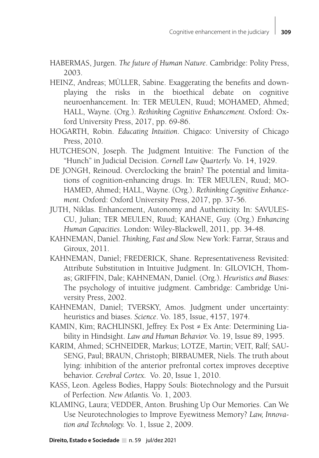- HABERMAS, Jurgen. *The future of Human Nature*. Cambridge: Polity Press, 2003.
- HEINZ, Andreas; MÜLLER, Sabine. Exaggerating the benefits and downplaying the risks in the bioethical debate on cognitive neuroenhancement. In: TER MEULEN, Ruud; MOHAMED, Ahmed; HALL, Wayne. (Org.). *Rethinking Cognitive Enhancement.* Oxford: Oxford University Press, 2017, pp. 69-86.
- HOGARTH, Robin. *Educating Intuition*. Chigaco: University of Chicago Press, 2010.
- HUTCHESON, Joseph. The Judgment Intuitive: The Function of the "Hunch" in Judicial Decision. *Cornell Law Quarterly.* Vo. 14, 1929.
- DE JONGH, Reinoud. Overclocking the brain? The potential and limitations of cognition-enhancing drugs. In: TER MEULEN, Ruud; MO-HAMED, Ahmed; HALL, Wayne. (Org.). *Rethinking Cognitive Enhancement.* Oxford: Oxford University Press, 2017, pp. 37-56.
- JUTH, Niklas. Enhancement, Autonomy and Authenticity. In: SAVULES-CU, Julian; TER MEULEN, Ruud; KAHANE, Guy. (Org.) *Enhancing Human Capacities*. London: Wiley-Blackwell, 2011, pp. 34-48.
- KAHNEMAN, Daniel. *Thinking, Fast and Slow.* New York: Farrar, Straus and Giroux, 2011.
- KAHNEMAN, Daniel; FREDERICK, Shane. Representativeness Revisited: Attribute Substitution in Intuitive Judgment. In: GILOVICH, Thomas; GRIFFIN, Dale; KAHNEMAN, Daniel. (Org.). *Heuristics and Biases:*  The psychology of intuitive judgment. Cambridge: Cambridge University Press, 2002.
- KAHNEMAN, Daniel; TVERSKY, Amos. Judgment under uncertainty: heuristics and biases. *Science*. Vo. 185, Issue, 4157, 1974.
- KAMIN, Kim; RACHLINSKI, Jeffrey. Ex Post ≠ Ex Ante: Determining Liability in Hindsight. *Law and Human Behavior.* Vo. 19, Issue 89, 1995.
- KARIM, Ahmed; SCHNEIDER, Markus; LOTZE, Martin; VEIT, Ralf; SAU-SENG, Paul; BRAUN, Christoph; BIRBAUMER, Niels. The truth about lying: inhibition of the anterior prefrontal cortex improves deceptive behavior. *Cerebral Cortex.* Vo. 20, Issue 1, 2010.
- KASS, Leon. Ageless Bodies, Happy Souls: Biotechnology and the Pursuit of Perfection. *New Atlantis.* Vo. 1, 2003.
- KLAMING, Laura; VEDDER, Anton. Brushing Up Our Memories. Can We Use Neurotechnologies to Improve Eyewitness Memory? *Law, Innovation and Technology.* Vo. 1, Issue 2, 2009.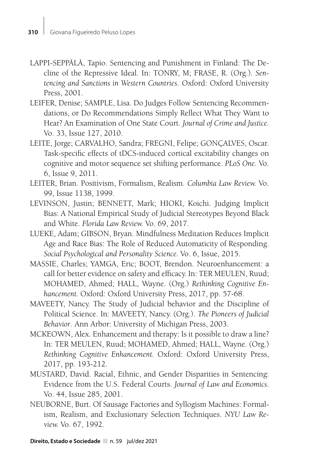- LAPPI-SEPPÄLÄ, Tapio. Sentencing and Punishment in Finland: The Decline of the Repressive Ideal. In: TONRY, M; FRASE, R. (Org.). *Sentencing and Sanctions in Western Countries*. Oxford: Oxford University Press, 2001.
- LEIFER, Denise; SAMPLE, Lisa. Do Judges Follow Sentencing Recommendations, or Do Recommendations Simply Reflect What They Want to Hear? An Examination of One State Court. *Journal of Crime and Justice.*  Vo. 33, Issue 127, 2010.
- LEITE, Jorge; CARVALHO, Sandra; FREGNI, Felipe; GONÇALVES, Oscar. Task-specific effects of tDCS-induced cortical excitability changes on cognitive and motor sequence set shifting performance. *PLoS One.* Vo. 6, Issue 9, 2011.
- LEITER, Brian. Positivism, Formalism, Realism. *Columbia Law Review.* Vo. 99, Issue 1138, 1999.
- LEVINSON, Justin; BENNETT, Mark; HIOKI, Koichi. Judging Implicit Bias: A National Empirical Study of Judicial Stereotypes Beyond Black and White. *Florida Law Review.* Vo. 69, 2017.
- LUEKE, Adam; GIBSON, Bryan. Mindfulness Meditation Reduces Implicit Age and Race Bias: The Role of Reduced Automaticity of Responding. *Social Psychological and Personality Science.* Vo. 6, Issue, 2015.
- MASSIE, Charles; YAMGA, Eric; BOOT, Brendon. Neuroenhancement: a call for better evidence on safety and efficacy. In: TER MEULEN, Ruud; MOHAMED, Ahmed; HALL, Wayne. (Org.) *Rethinking Cognitive Enhancement.* Oxford: Oxford University Press, 2017, pp. 57-68.
- MAVEETY, Nancy. The Study of Judicial behavior and the Discipline of Political Science. In: MAVEETY, Nancy. (Org.). *The Pioneers of Judicial Behavior*. Ann Arbor: University of Michigan Press, 2003.
- MCKEOWN, Alex. Enhancement and therapy: Is it possible to draw a line? In: TER MEULEN, Ruud; MOHAMED, Ahmed; HALL, Wayne. (Org.) *Rethinking Cognitive Enhancement.* Oxford: Oxford University Press, 2017, pp. 193-212.
- MUSTARD, David. Racial, Ethnic, and Gender Disparities in Sentencing: Evidence from the U.S. Federal Courts. *Journal of Law and Economics.*  Vo. 44, Issue 285, 2001.
- NEUBORNE, Burt. Of Sausage Factories and Syllogism Machines: Formalism, Realism, and Exclusionary Selection Techniques. *NYU Law Review.* Vo. 67, 1992.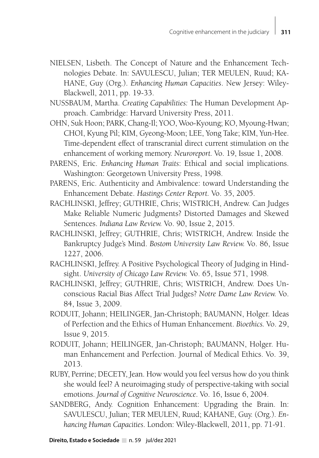- NIELSEN, Lisbeth. The Concept of Nature and the Enhancement Technologies Debate. In: SAVULESCU, Julian; TER MEULEN, Ruud; KA-HANE, Guy (Org.). *Enhancing Human Capacities*. New Jersey: Wiley-Blackwell, 2011, pp. 19-33.
- NUSSBAUM, Martha. *Creating Capabilities:* The Human Development Approach. Cambridge: Harvard University Press, 2011.
- OHN, Suk Hoon; PARK, Chang-Il; YOO, Woo-Kyoung; KO, Myoung-Hwan; CHOI, Kyung Pil; KIM, Gyeong-Moon; LEE, Yong Take; KIM, Yun-Hee. Time-dependent effect of transcranial direct current stimulation on the enhancement of working memory. *Neuroreport.* Vo. 19, Issue 1, 2008.
- PARENS, Eric. *Enhancing Human Traits*: Ethical and social implications. Washington: Georgetown University Press, 1998.
- PARENS, Eric. Authenticity and Ambivalence: toward Understanding the Enhancement Debate. *Hastings Center Report.* Vo. 35, 2005.
- RACHLINSKI, Jeffrey; GUTHRIE, Chris; WISTRICH, Andrew. Can Judges Make Reliable Numeric Judgments? Distorted Damages and Skewed Sentences. *Indiana Law Review.* Vo. 90, Issue 2, 2015.
- RACHLINSKI, Jeffrey; GUTHRIE, Chris; WISTRICH, Andrew. Inside the Bankruptcy Judge's Mind. *Bostom University Law Review.* Vo. 86, Issue 1227, 2006.
- RACHLINSKI, Jeffrey. A Positive Psychological Theory of Judging in Hindsight. *University of Chicago Law Review.* Vo. 65, Issue 571, 1998.
- RACHLINSKI, Jeffrey; GUTHRIE, Chris; WISTRICH, Andrew. Does Unconscious Racial Bias Affect Trial Judges? *Notre Dame Law Review.* Vo. 84, Issue 3, 2009.
- RODUIT, Johann; HEILINGER, Jan-Christoph; BAUMANN, Holger. Ideas of Perfection and the Ethics of Human Enhancement. *Bioethics.* Vo. 29, Issue 9, 2015.
- RODUIT, Johann; HEILINGER, Jan-Christoph; BAUMANN, Holger. Human Enhancement and Perfection. Journal of Medical Ethics. Vo. 39, 2013.
- RUBY, Perrine; DECETY, Jean. How would you feel versus how do you think she would feel? A neuroimaging study of perspective-taking with social emotions. *Journal of Cognitive Neuroscience*. Vo. 16, Issue 6, 2004.
- SANDBERG, Andy. Cognition Enhancement: Upgrading the Brain. In: SAVULESCU, Julian; TER MEULEN, Ruud; KAHANE, Guy. (Org.). *Enhancing Human Capacities*. London: Wiley-Blackwell, 2011, pp. 71-91.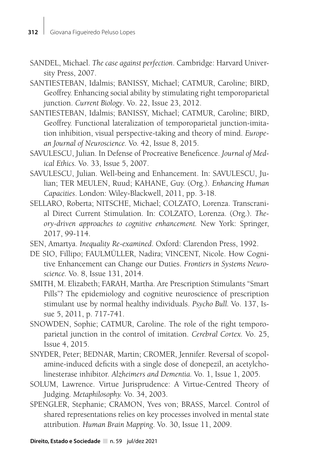- SANDEL, Michael. *The case against perfection*. Cambridge: Harvard University Press, 2007.
- SANTIESTEBAN, Idalmis; BANISSY, Michael; CATMUR, Caroline; BIRD, Geoffrey. Enhancing social ability by stimulating right temporoparietal junction. *Current Biology*. Vo. 22, Issue 23, 2012.
- SANTIESTEBAN, Idalmis; BANISSY, Michael; CATMUR, Caroline; BIRD, Geoffrey. Functional lateralization of temporoparietal junction-imitation inhibition, visual perspective-taking and theory of mind. *European Journal of Neuroscience.* Vo*.* 42, Issue 8, 2015.
- SAVULESCU, Julian. In Defense of Procreative Beneficence. *Journal of Medical Ethics.* Vo. 33, Issue 5, 2007.
- SAVULESCU, Julian. Well-being and Enhancement. In: SAVULESCU, Julian; TER MEULEN, Ruud; KAHANE, Guy. (Org.). *Enhancing Human Capacities*. London: Wiley-Blackwell, 2011, pp. 3-18.
- SELLARO, Roberta; NITSCHE, Michael; COLZATO, Lorenza. Transcranial Direct Current Stimulation. In: COLZATO, Lorenza. (Org.). *Theory-driven approaches to cognitive enhancement.* New York: Springer, 2017, 99-114.
- SEN, Amartya. *Inequality Re-examined*. Oxford: Clarendon Press, 1992.
- DE SIO, Fillipo; FAULMÜLLER, Nadira; VINCENT, Nicole. How Cognitive Enhancement can Change our Duties. *Frontiers in Systems Neuroscience.* Vo. 8, Issue 131, 2014.
- SMITH, M. Elizabeth; FARAH, Martha. Are Prescription Stimulants "Smart Pills"? The epidemiology and cognitive neuroscience of prescription stimulant use by normal healthy individuals. *Psycho Bull.* Vo. 137, Issue 5, 2011, p. 717-741.
- SNOWDEN, Sophie; CATMUR, Caroline. The role of the right temporoparietal junction in the control of imitation. *Cerebral Cortex.* Vo. 25, Issue 4, 2015.
- SNYDER, Peter; BEDNAR, Martin; CROMER, Jennifer. Reversal of scopolamine-induced deficits with a single dose of donepezil, an acetylcholinesterase inhibitor. *Alzheimers and Dementia.* Vo. 1, Issue 1, 2005.
- SOLUM, Lawrence. Virtue Jurisprudence: A Virtue-Centred Theory of Judging. *Metaphilosophy.* Vo. 34, 2003.
- SPENGLER, Stephanie; CRAMON, Yves von; BRASS, Marcel. Control of shared representations relies on key processes involved in mental state attribution. *Human Brain Mapping*. Vo. 30, Issue 11, 2009.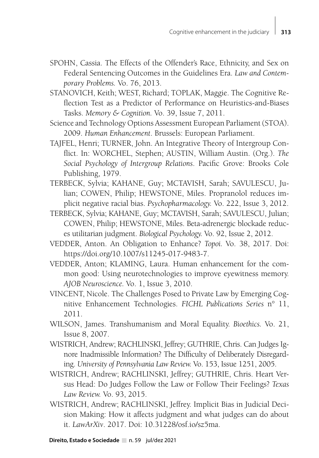- SPOHN, Cassia. The Effects of the Offender's Race, Ethnicity, and Sex on Federal Sentencing Outcomes in the Guidelines Era. *Law and Contemporary Problems.* Vo. 76, 2013.
- STANOVICH, Keith; WEST, Richard; TOPLAK, Maggie. The Cognitive Reflection Test as a Predictor of Performance on Heuristics-and-Biases Tasks. *Memory & Cognition.* Vo. 39, Issue 7, 2011.
- Science and Technology Options Assessment European Parliament (STOA). 2009. *Human Enhancement*. Brussels: European Parliament.
- TAJFEL, Henri; TURNER, John. An Integrative Theory of Intergroup Conflict. In: WORCHEL, Stephen; AUSTIN, William Austin. (Org.). *The Social Psychology of Intergroup Relations*. Pacific Grove: Brooks Cole Publishing, 1979.
- TERBECK, Sylvia; KAHANE, Guy; MCTAVISH, Sarah; SAVULESCU, Julian; COWEN, Philip; HEWSTONE, Miles. Propranolol reduces implicit negative racial bias. *Psychopharmacology.* Vo. 222, Issue 3, 2012.
- TERBECK, Sylvia; KAHANE, Guy; MCTAVISH, Sarah; SAVULESCU, Julian; COWEN, Philip; HEWSTONE, Miles. Beta-adrenergic blockade reduces utilitarian judgment. *Biological Psychology.* Vo. 92, Issue 2, 2012.
- VEDDER, Anton. An Obligation to Enhance? *Topoi.* Vo. 38, 2017. Doi: https://doi.org/10.1007/s11245-017-9483-7.
- VEDDER, Anton; KLAMING, Laura. Human enhancement for the common good: Using neurotechnologies to improve eyewitness memory. *AJOB Neuroscience.* Vo. 1, Issue 3, 2010.
- VINCENT, Nicole. The Challenges Posed to Private Law by Emerging Cognitive Enhancement Technologies. *FICHL Publications Series* n° 11, 2011.
- WILSON, James. Transhumanism and Moral Equality. *Bioethics.* Vo. 21, Issue 8, 2007.
- WISTRICH, Andrew; RACHLINSKI, Jeffrey; GUTHRIE, Chris. Can Judges Ignore Inadmissible Information? The Difficulty of Deliberately Disregarding. *University of Pennsylvania Law Review.* Vo. 153, Issue 1251, 2005.
- WISTRICH, Andrew; RACHLINSKI, Jeffrey; GUTHRIE, Chris. Heart Versus Head: Do Judges Follow the Law or Follow Their Feelings? *Texas Law Review.* Vo. 93, 2015.
- WISTRICH, Andrew; RACHLINSKI, Jeffrey. Implicit Bias in Judicial Decision Making: How it affects judgment and what judges can do about it. *LawArXiv*. 2017. Doi: 10.31228/osf.io/sz5ma.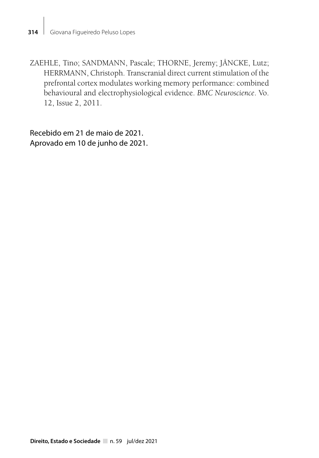ZAEHLE, Tino; SANDMANN, Pascale; THORNE, Jeremy; JÄNCKE, Lutz; HERRMANN, Christoph. Transcranial direct current stimulation of the prefrontal cortex modulates working memory performance: combined behavioural and electrophysiological evidence. *BMC Neuroscience*. Vo. 12, Issue 2, 2011.

Recebido em 21 de maio de 2021. Aprovado em 10 de junho de 2021.